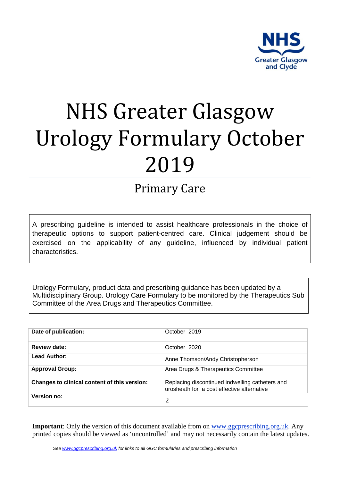

# NHS Greater Glasgow Urology Formulary October 2019

## Primary Care

A prescribing guideline is intended to assist healthcare professionals in the choice of therapeutic options to support patient-centred care. Clinical judgement should be exercised on the applicability of any guideline, influenced by individual patient characteristics.

Urology Formulary, product data and prescribing guidance has been updated by a Multidisciplinary Group. Urology Care Formulary to be monitored by the Therapeutics Sub Committee of the Area Drugs and Therapeutics Committee.

| Date of publication:                         | October 2019                                                                                  |
|----------------------------------------------|-----------------------------------------------------------------------------------------------|
| Review date:                                 | October 2020                                                                                  |
| <b>Lead Author:</b>                          | Anne Thomson/Andy Christopherson                                                              |
| <b>Approval Group:</b>                       | Area Drugs & Therapeutics Committee                                                           |
| Changes to clinical content of this version: | Replacing discontinued indwelling catheters and<br>urosheath for a cost effective alternative |
| <b>Version no:</b>                           |                                                                                               |

**Important**: Only the version of this document available from on [www.ggcprescribing.org.uk.](http://www.ggcprescribing.org.uk/) Any printed copies should be viewed as 'uncontrolled' and may not necessarily contain the latest updates.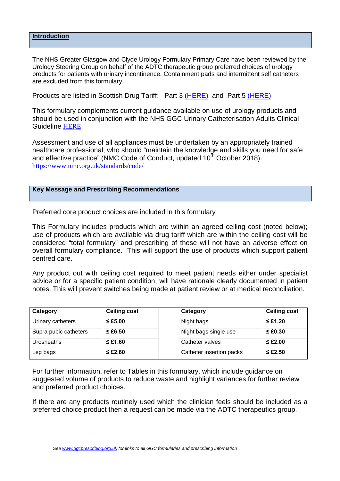#### **Introduction**

The NHS Greater Glasgow and Clyde Urology Formulary Primary Care have been reviewed by the Urology Steering Group on behalf of the ADTC therapeutic group preferred choices of urology products for patients with urinary incontinence. Containment pads and intermittent self catheters are excluded from this formulary.

Products are listed in Scottish Drug Tariff: Part 3 [\(HERE\)](https://www.isdscotland.org/Health-Topics/Prescribing-and-Medicines/Scottish-Drug-Tariff/Docs/September-2019/2019-09-SDT-PART3-v2.pdf) and Part 5 [\(HERE\)](https://www.isdscotland.org/Health-Topics/Prescribing-and-Medicines/Scottish-Drug-Tariff/Docs/September-2019/2019-09-SDT-PART5.pdf)

This formulary complements current guidance available on use of urology products and should be used in conjunction with the NHS GGC Urinary Catheterisation Adults Clinical Guideline [HERE](http://www.staffnet.ggc.scot.nhs.uk/Info%20Centre/PoliciesProcedures/GGCClinicalGuidelines/GGC%20Clinical%20Guidelines%20Electronic%20Resource%20Direct/Adult%20Urinary%20Catheterisation%20Clinical%20Guideline.pdf)

Assessment and use of all appliances must be undertaken by an appropriately trained healthcare professional; who should "maintain the knowledge and skills you need for safe and effective practice" (NMC Code of Conduct, updated  $10<sup>th</sup>$  October 2018). <https://www.nmc.org.uk/standards/code/>

#### **Key Message and Prescribing Recommendations**

Preferred core product choices are included in this formulary

This Formulary includes products which are within an agreed ceiling cost (noted below); use of products which are available via drug tariff which are within the ceiling cost will be considered "total formulary" and prescribing of these will not have an adverse effect on overall formulary compliance. This will support the use of products which support patient centred care.

Any product out with ceiling cost required to meet patient needs either under specialist advice or for a specific patient condition, will have rationale clearly documented in patient notes. This will prevent switches being made at patient review or at medical reconciliation.

| Category              | <b>Ceiling cost</b> | Category                 | <b>Ceiling cost</b> |
|-----------------------|---------------------|--------------------------|---------------------|
| Urinary catheters     | $\leq$ £5.00        | Night bags               | $\leq$ £1.20        |
| Supra pubic catheters | $\leq$ £6.50        | Night bags single use    | $\leq$ £0.30        |
| <b>Urosheaths</b>     | $\leq$ £1.60        | Catheter valves          | $\leq$ £2.00        |
| Leg bags              | $\leq$ £2.60        | Catheter insertion packs | $\leq$ £2.50        |

For further information, refer to Tables in this formulary, which include guidance on suggested volume of products to reduce waste and highlight variances for further review and preferred product choices.

If there are any products routinely used which the clinician feels should be included as a preferred choice product then a request can be made via the ADTC therapeutics group.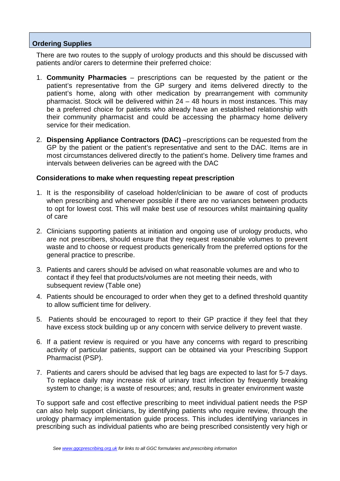#### **Ordering Supplies**

There are two routes to the supply of urology products and this should be discussed with patients and/or carers to determine their preferred choice:

- 1. **Community Pharmacies** prescriptions can be requested by the patient or the patient's representative from the GP surgery and items delivered directly to the patient's home, along with other medication by prearrangement with community pharmacist. Stock will be delivered within 24 – 48 hours in most instances. This may be a preferred choice for patients who already have an established relationship with their community pharmacist and could be accessing the pharmacy home delivery service for their medication.
- 2. **Dispensing Appliance Contractors (DAC)** –prescriptions can be requested from the GP by the patient or the patient's representative and sent to the DAC. Items are in most circumstances delivered directly to the patient's home. Delivery time frames and intervals between deliveries can be agreed with the DAC

#### **Considerations to make when requesting repeat prescription**

- 1. It is the responsibility of caseload holder/clinician to be aware of cost of products when prescribing and whenever possible if there are no variances between products to opt for lowest cost. This will make best use of resources whilst maintaining quality of care
- 2. Clinicians supporting patients at initiation and ongoing use of urology products, who are not prescribers, should ensure that they request reasonable volumes to prevent waste and to choose or request products generically from the preferred options for the general practice to prescribe.
- 3. Patients and carers should be advised on what reasonable volumes are and who to contact if they feel that products/volumes are not meeting their needs, with subsequent review (Table one)
- 4. Patients should be encouraged to order when they get to a defined threshold quantity to allow sufficient time for delivery.
- 5. Patients should be encouraged to report to their GP practice if they feel that they have excess stock building up or any concern with service delivery to prevent waste.
- 6. If a patient review is required or you have any concerns with regard to prescribing activity of particular patients, support can be obtained via your Prescribing Support Pharmacist (PSP).
- 7. Patients and carers should be advised that leg bags are expected to last for 5-7 days. To replace daily may increase risk of urinary tract infection by frequently breaking system to change; is a waste of resources; and, results in greater environment waste

To support safe and cost effective prescribing to meet individual patient needs the PSP can also help support clinicians, by identifying patients who require review, through the urology pharmacy implementation guide process. This includes identifying variances in prescribing such as individual patients who are being prescribed consistently very high or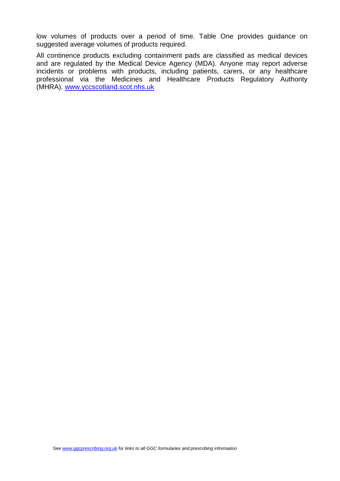low volumes of products over a period of time. Table One provides guidance on suggested average volumes of products required.

All continence products excluding containment pads are classified as medical devices and are regulated by the Medical Device Agency (MDA). Anyone may report adverse incidents or problems with products, including patients, carers, or any healthcare professional via the Medicines and Healthcare Products Regulatory Authority (MHRA). [www.yccscotland.scot.nhs.uk](http://www.yccscotland.scot.nhs.uk/)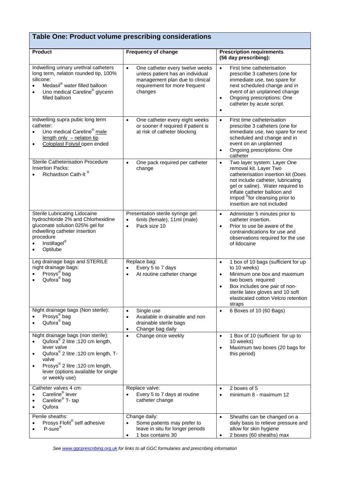## **Table One: Product volume prescribing considerations**

| <b>Product</b>                                                                                                                                                                                                                                                                    | <b>Frequency of change</b>                                                                                                                                      | <b>Prescription requirements</b><br>(56 day prescribing):                                                                                                                                                                                                                                        |
|-----------------------------------------------------------------------------------------------------------------------------------------------------------------------------------------------------------------------------------------------------------------------------------|-----------------------------------------------------------------------------------------------------------------------------------------------------------------|--------------------------------------------------------------------------------------------------------------------------------------------------------------------------------------------------------------------------------------------------------------------------------------------------|
| Indwelling urinary urethral catheters<br>long term, nelaton rounded tip, 100%<br>silicone:<br>Medasil <sup>®</sup> water filled balloon<br>$\bullet$<br>Uno medical Careline <sup>®</sup> glycerin<br>filled balloon                                                              | $\bullet$<br>One catheter every twelve weeks<br>unless patient has an individual<br>management plan due to clinical<br>requirement for more frequent<br>changes | First time catheterisation<br>$\bullet$<br>prescribe 3 catheters (one for<br>immediate use, two spare for<br>next scheduled change and in<br>event of an unplanned change<br>Ongoing prescriptions: One<br>$\bullet$<br>catheter by acute script.<br>$\bullet$                                   |
| Indwelling supra pubic long term<br>catheter:<br>Uno medical Careline <sup>®</sup> male<br>length only - nelaton tip<br>Coloplast Folysil open ended<br>$\bullet$                                                                                                                 | One catheter every eight weeks<br>$\bullet$<br>or sooner if required if patient is<br>at risk of catheter blocking                                              | First time catheterisation<br>$\bullet$<br>prescribe 3 catheters (one for<br>immediate use, two spare for next<br>scheduled and change and in<br>event on an unplanned<br>Ongoing prescriptions: One<br>$\bullet$<br>catheter                                                                    |
| <b>Sterile Catheterisation Procedure</b><br><b>Insertion Packs:</b><br>Richardson Cath-It®                                                                                                                                                                                        | One pack required per catheter<br>$\bullet$<br>change                                                                                                           | Two layer system: Layer One<br>$\bullet$<br>removal kit. Layer Two<br>catheterisation insertion kit (Does<br>not include catheter, lubricating<br>gel or saline). Water required to<br>inflate catheter balloon and<br>Irripod <sup>®</sup> for cleansing prior to<br>insertion are not included |
| Sterile Lubricating Lidocaine<br>hydrochloride 2% and Chlorhexidine<br>gluconate solution 025% gel for<br>indwelling catheter insertion<br>procedure<br>Instillagel <sup>®</sup><br>Optilube                                                                                      | Presentation sterile syringe gel:<br>6mls (female), 11ml (male)<br>$\bullet$<br>Pack size 10<br>$\bullet$                                                       | Administer 5 minutes prior to<br>$\bullet$<br>catheter insertion.<br>Prior to use be aware of the<br>$\bullet$<br>contraindications for use and<br>observations required for the use<br>of lidocaine                                                                                             |
| Leg drainage bags and STERILE<br>night drainage bags:<br>Prosys <sup>®</sup> bag<br>Qufora <sup>®</sup> bag                                                                                                                                                                       | Replace bag:<br>Every 5 to 7 days<br>$\bullet$<br>At routine catheter change<br>$\bullet$                                                                       | 1 box of 10 bags (sufficient for up<br>$\bullet$<br>to 10 weeks)<br>Minimum one box and maximum<br>$\bullet$<br>two boxes required<br>Box includes one pair of non-<br>sterile latex gloves and 10 soft<br>elasticated cotton Velcro retention<br>straps                                         |
| Night drainage bags (Non sterile):<br>Prosys <sup>®</sup> bag<br>Qufora <sup>®</sup> bag                                                                                                                                                                                          | Single use<br>$\bullet$<br>Available in drainable and non<br>$\bullet$<br>drainable sterile bags<br>Change bag daily<br>$\bullet$                               | 6 Boxes of 10 (60 Bags)<br>$\bullet$                                                                                                                                                                                                                                                             |
| Night drainage bags (non sterile):<br>Qufora <sup>®</sup> 2 litre ;120 cm length,<br>lever valve<br>Qufora <sup>®</sup> 2 litre ;120 cm length, T-<br>$\bullet$<br>valve<br>Prosys® 2 litre ;120 cm length,<br>$\bullet$<br>lever (options available for single<br>or weekly use) | Change once weekly<br>$\bullet$                                                                                                                                 | 1 Box of 10 (sufficient for up to<br>$\bullet$<br>10 weeks)<br>Maximum two boxes (20 bags for<br>this period)                                                                                                                                                                                    |
| Catheter valves 4 cm:<br>Careline <sup>®</sup> lever<br>Careline <sup>®</sup> T- tap<br>Qufora                                                                                                                                                                                    | Replace valve:<br>Every 5 to 7 days at routine<br>$\bullet$<br>catheter change                                                                                  | 2 boxes of 5<br>$\bullet$<br>minimum 8 - maximum 12<br>$\bullet$                                                                                                                                                                                                                                 |
| Penile sheaths:<br>Prosys Flofit® self adhesive<br>$P$ -sure®                                                                                                                                                                                                                     | Change daily:<br>Some patients may prefer to<br>leave in situ for longer periods<br>1 box contains 30<br>$\bullet$                                              | Sheaths can be changed on a<br>$\bullet$<br>daily basis to relieve pressure and<br>allow for skin hygiene<br>2 boxes (60 sheaths) max                                                                                                                                                            |

*See [www.ggcprescribing.org.uk](http://www.ggcprescribing.org.uk/) for links to all GGC formularies and prescribing information*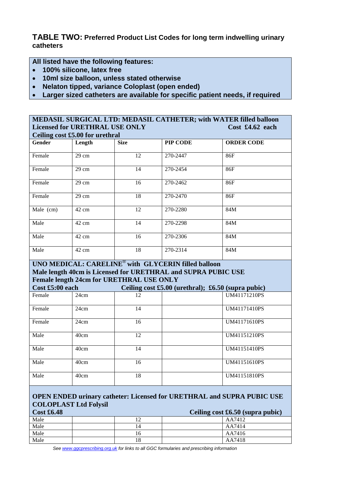**TABLE TWO: Preferred Product List Codes for long term indwelling urinary catheters**

**All listed have the following features:** 

- **100% silicone, latex free**
- **10ml size balloon, unless stated otherwise**
- **Nelaton tipped, variance Coloplast (open ended)**
- **Larger sized catheters are available for specific patient needs, if required**

| MEDASIL SURGICAL LTD: MEDASIL CATHETER; with WATER filled balloon                                             |                 |                                                 |                                                               |                                                        |  |
|---------------------------------------------------------------------------------------------------------------|-----------------|-------------------------------------------------|---------------------------------------------------------------|--------------------------------------------------------|--|
| <b>Licensed for URETHRAL USE ONLY</b><br>Cost f4.62 each                                                      |                 |                                                 |                                                               |                                                        |  |
| Ceiling cost £5.00 for urethral                                                                               |                 |                                                 |                                                               |                                                        |  |
| Gender                                                                                                        | Length          | <b>Size</b>                                     | PIP CODE                                                      | <b>ORDER CODE</b>                                      |  |
| Female                                                                                                        | $29 \text{ cm}$ | 12                                              | 270-2447                                                      | 86F                                                    |  |
| Female                                                                                                        | 29 cm           | 14                                              | 270-2454                                                      | 86F                                                    |  |
| Female                                                                                                        | 29 cm           | 16                                              | 270-2462                                                      | 86F                                                    |  |
| Female                                                                                                        | 29 cm           | 18                                              | 270-2470                                                      | 86F                                                    |  |
| Male (cm)                                                                                                     | 42 cm           | 12                                              | 270-2280                                                      | 84M                                                    |  |
| Male                                                                                                          | 42 cm           | 14                                              | 270-2298                                                      | 84M                                                    |  |
| Male                                                                                                          | 42 cm           | 16                                              | 270-2306                                                      | 84M                                                    |  |
| Male                                                                                                          | 42 cm           | 18                                              | 270-2314                                                      | 84M                                                    |  |
|                                                                                                               |                 |                                                 | UNO MEDICAL: CARELINE® with GLYCERIN filled balloon           |                                                        |  |
|                                                                                                               |                 |                                                 | Male length 40cm is Licensed for URETHRAL and SUPRA PUBIC USE |                                                        |  |
|                                                                                                               |                 | <b>Female length 24cm for URETHRAL USE ONLY</b> |                                                               |                                                        |  |
| Cost £5:00 each                                                                                               |                 |                                                 |                                                               | Ceiling cost $£5.00$ (urethral); $£6.50$ (supra pubic) |  |
| Female                                                                                                        | 24cm            | 12                                              |                                                               | <b>UM41171210PS</b>                                    |  |
|                                                                                                               |                 |                                                 |                                                               |                                                        |  |
| Female                                                                                                        | 24cm            | 14                                              |                                                               | <b>UM41171410PS</b>                                    |  |
| Female                                                                                                        | 24cm            | 16                                              |                                                               | UM41171610PS                                           |  |
| Male                                                                                                          | 40cm            | 12                                              |                                                               | UM41151210PS                                           |  |
| Male                                                                                                          | 40cm            | 14                                              |                                                               | UM41151410PS                                           |  |
| Male                                                                                                          | 40cm            | 16                                              |                                                               | <b>UM41151610PS</b>                                    |  |
| Male                                                                                                          | 40cm            | 18                                              |                                                               | UM41151810PS                                           |  |
|                                                                                                               |                 |                                                 |                                                               |                                                        |  |
| <b>OPEN ENDED urinary catheter: Licensed for URETHRAL and SUPRA PUBIC USE</b><br><b>COLOPLAST Ltd Folysil</b> |                 |                                                 |                                                               |                                                        |  |
| <b>Cost £6.48</b><br>Ceiling cost $£6.50$ (supra pubic)                                                       |                 |                                                 |                                                               |                                                        |  |
| Male                                                                                                          |                 | 12                                              |                                                               | AA7412                                                 |  |
| Male                                                                                                          |                 | 14                                              |                                                               | AA7414                                                 |  |
| Male                                                                                                          |                 | 16                                              |                                                               | AA7416                                                 |  |
| Male                                                                                                          |                 | 18                                              |                                                               | AA7418                                                 |  |

*See [www.ggcprescribing.org.uk](http://www.ggcprescribing.org.uk/) for links to all GGC formularies and prescribing information*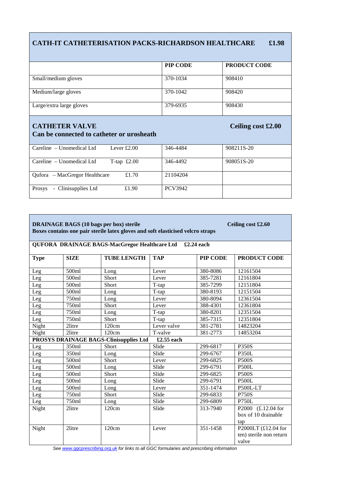### **CATH-IT CATHETERISATION PACKS-RICHARDSON HEALTHCARE £1.98**

|                          | PIP CODE | <b>PRODUCT CODE</b> |
|--------------------------|----------|---------------------|
| Small/medium gloves      | 370-1034 | 908410              |
| Medium/large gloves      | 370-1042 | 908420              |
| Large/extra large gloves | 379-6935 | 908430              |

#### **CATHETER VALVE CATHETER VALVE Ceiling cost £2.00 Can be connected to catheter or urosheath**

| Careline – Unomedical Ltd<br>Lever $£2.00$ | 346-4484 | 908211S-20 |
|--------------------------------------------|----------|------------|
| T-tap $£2.00$<br>Careline – Unomedical Ltd | 346-4492 | 908051S-20 |
| Qufora – MacGregor Healthcare<br>£1.70     | 21104204 |            |
| - Clinisupplies Ltd<br>£1.90<br>Prosys     | PCV3942  |            |

| <b>DRAINAGE BAGS (10 bags per box) sterile</b><br>Ceiling cost £2.60<br>Boxes contains one pair sterile latex gloves and soft elasticised velcro straps |             |                                               |             |            |                                                           |
|---------------------------------------------------------------------------------------------------------------------------------------------------------|-------------|-----------------------------------------------|-------------|------------|-----------------------------------------------------------|
|                                                                                                                                                         |             | QUFORA DRAINAGE BAGS-MacGregor Healthcare Ltd |             | £2.24 each |                                                           |
| <b>Type</b>                                                                                                                                             | <b>SIZE</b> | <b>TUBE LENGTH</b>                            | <b>TAP</b>  | PIP CODE   | PRODUCT CODE                                              |
| Leg                                                                                                                                                     | 500ml       | Long                                          | Lever       | 380-8086   | 12161504                                                  |
| Leg                                                                                                                                                     | 500ml       | Short                                         | Lever       | 385-7281   | 12161804                                                  |
| Leg                                                                                                                                                     | 500ml       | Short                                         | T-tap       | 385-7299   | 12151804                                                  |
| Leg                                                                                                                                                     | 500ml       | Long                                          | T-tap       | 380-8193   | 12151504                                                  |
| Leg                                                                                                                                                     | 750ml       | Long                                          | Lever       | 380-8094   | 12361504                                                  |
| Leg                                                                                                                                                     | 750ml       | Short                                         | Lever       | 388-4301   | 12361804                                                  |
| Leg                                                                                                                                                     | 750ml       | Long                                          | T-tap       | 380-8201   | 12351504                                                  |
| Leg                                                                                                                                                     | 750ml       | Short                                         | T-tap       | 385-7315   | 12351804                                                  |
| Night                                                                                                                                                   | 2litre      | 120cm                                         | Lever valve | 381-2781   | 14823204                                                  |
| Night                                                                                                                                                   | 2litre      | 120cm                                         | T-valve     | 381-2773   | 14853204                                                  |
| PROSYS DRAINAGE BAGS-Clinisupplies Ltd<br>£2.55 each                                                                                                    |             |                                               |             |            |                                                           |
| Leg                                                                                                                                                     | 350ml       | Short                                         | Slide       | 299-6817   | <b>P350S</b>                                              |
| Leg                                                                                                                                                     | 350ml       | Long                                          | Slide       | 299-6767   | <b>P350L</b>                                              |
| Leg                                                                                                                                                     | 500ml       | <b>Short</b>                                  | Lever       | 299-6825   | <b>P500S</b>                                              |
| Leg                                                                                                                                                     | 500ml       | Long                                          | Slide       | 299-6791   | <b>P500L</b>                                              |
| Leg                                                                                                                                                     | 500ml       | Short                                         | Slide       | 299-6825   | <b>P500S</b>                                              |
| Leg                                                                                                                                                     | 500ml       | Long                                          | Slide       | 299-6791   | <b>P500L</b>                                              |
| Leg                                                                                                                                                     | 500ml       | Long                                          | Lever       | 351-1474   | P500L-LT                                                  |
| Leg                                                                                                                                                     | 750ml       | Short                                         | Slide       | 299-6833   | <b>P750S</b>                                              |
| Leg                                                                                                                                                     | 750ml       | Long                                          | Slide       | 299-6809   | <b>P750L</b>                                              |
| Night                                                                                                                                                   | 2litre      | 120cm                                         | Slide       | 313-7940   | P2000 (£.12.04 for<br>box of 10 drainable<br>tap          |
| Night                                                                                                                                                   | 2litre      | 120cm                                         | Lever       | 351-1458   | P2000LT $(E12.04$ for<br>ten) sterile non return<br>valve |

*See [www.ggcprescribing.org.uk](http://www.ggcprescribing.org.uk/) for links to all GGC formularies and prescribing information*